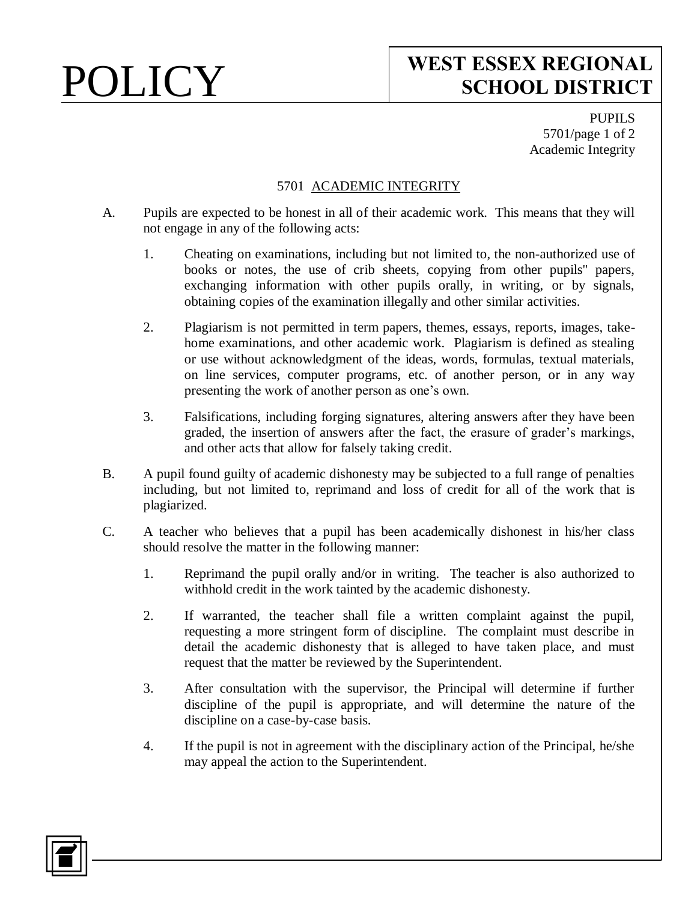# POLICY **WEST ESSEX REGIONAL SCHOOL DISTRICT**

PUPILS 5701/page 1 of 2 Academic Integrity

### 5701 ACADEMIC INTEGRITY

- A. Pupils are expected to be honest in all of their academic work. This means that they will not engage in any of the following acts:
	- 1. Cheating on examinations, including but not limited to, the non-authorized use of books or notes, the use of crib sheets, copying from other pupils'' papers, exchanging information with other pupils orally, in writing, or by signals, obtaining copies of the examination illegally and other similar activities.
	- 2. Plagiarism is not permitted in term papers, themes, essays, reports, images, takehome examinations, and other academic work. Plagiarism is defined as stealing or use without acknowledgment of the ideas, words, formulas, textual materials, on line services, computer programs, etc. of another person, or in any way presenting the work of another person as one's own.
	- 3. Falsifications, including forging signatures, altering answers after they have been graded, the insertion of answers after the fact, the erasure of grader's markings, and other acts that allow for falsely taking credit.
- B. A pupil found guilty of academic dishonesty may be subjected to a full range of penalties including, but not limited to, reprimand and loss of credit for all of the work that is plagiarized.
- C. A teacher who believes that a pupil has been academically dishonest in his/her class should resolve the matter in the following manner:
	- 1. Reprimand the pupil orally and/or in writing. The teacher is also authorized to withhold credit in the work tainted by the academic dishonesty.
	- 2. If warranted, the teacher shall file a written complaint against the pupil, requesting a more stringent form of discipline. The complaint must describe in detail the academic dishonesty that is alleged to have taken place, and must request that the matter be reviewed by the Superintendent.
	- 3. After consultation with the supervisor, the Principal will determine if further discipline of the pupil is appropriate, and will determine the nature of the discipline on a case-by-case basis.
	- 4. If the pupil is not in agreement with the disciplinary action of the Principal, he/she may appeal the action to the Superintendent.